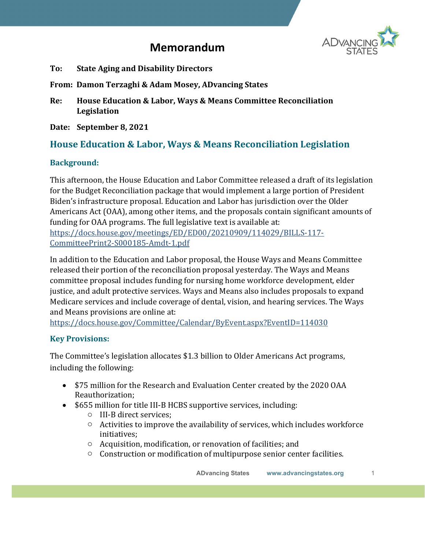

# **Memorandum**

- **To: State Aging and Disability Directors**
- **From: Damon Terzaghi & Adam Mosey, ADvancing States**
- **Re: House Education & Labor, Ways & Means Committee Reconciliation Legislation**
- **Date: September 8, 2021**

## **House Education & Labor, Ways & Means Reconciliation Legislation**

### **Background:**

This afternoon, the House Education and Labor Committee released a draft of its legislation for the Budget Reconciliation package that would implement a large portion of President Biden's infrastructure proposal. Education and Labor has jurisdiction over the Older Americans Act (OAA), among other items, and the proposals contain significant amounts of funding for OAA programs. The full legislative text is available at: [https://docs.house.gov/meetings/ED/ED00/20210909/114029/BILLS-117-](https://docs.house.gov/meetings/ED/ED00/20210909/114029/BILLS-117-CommitteePrint2-S000185-Amdt-1.pdf) [CommitteePrint2-S000185-Amdt-1.pdf](https://docs.house.gov/meetings/ED/ED00/20210909/114029/BILLS-117-CommitteePrint2-S000185-Amdt-1.pdf)

In addition to the Education and Labor proposal, the House Ways and Means Committee released their portion of the reconciliation proposal yesterday. The Ways and Means committee proposal includes funding for nursing home workforce development, elder justice, and adult protective services. Ways and Means also includes proposals to expand Medicare services and include coverage of dental, vision, and hearing services. The Ways and Means provisions are online at:

<https://docs.house.gov/Committee/Calendar/ByEvent.aspx?EventID=114030>

### **Key Provisions:**

The Committee's legislation allocates \$1.3 billion to Older Americans Act programs, including the following:

- \$75 million for the Research and Evaluation Center created by the 2020 OAA Reauthorization;
- \$655 million for title III-B HCBS supportive services, including:
	- o III-B direct services;
	- o Activities to improve the availability of services, which includes workforce initiatives;
	- o Acquisition, modification, or renovation of facilities; and
	- o Construction or modification of multipurpose senior center facilities.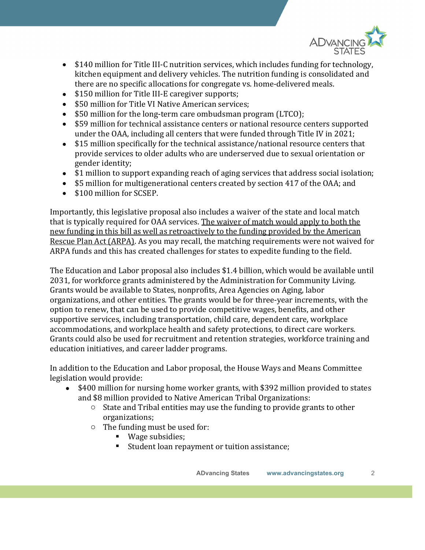

- \$140 million for Title III-C nutrition services, which includes funding for technology, kitchen equipment and delivery vehicles. The nutrition funding is consolidated and there are no specific allocations for congregate vs. home-delivered meals.
- \$150 million for Title III-E caregiver supports;
- \$50 million for Title VI Native American services;
- \$50 million for the long-term care ombudsman program (LTCO);
- \$59 million for technical assistance centers or national resource centers supported under the OAA, including all centers that were funded through Title IV in 2021;
- \$15 million specifically for the technical assistance/national resource centers that provide services to older adults who are underserved due to sexual orientation or gender identity;
- \$1 million to support expanding reach of aging services that address social isolation;
- \$5 million for multigenerational centers created by section 417 of the OAA; and
- \$100 million for SCSEP.

Importantly, this legislative proposal also includes a waiver of the state and local match that is typically required for OAA services. The waiver of match would apply to both the new funding in this bill as well as retroactively to the funding provided by the American Rescue Plan Act (ARPA). As you may recall, the matching requirements were not waived for ARPA funds and this has created challenges for states to expedite funding to the field.

The Education and Labor proposal also includes \$1.4 billion, which would be available until 2031, for workforce grants administered by the Administration for Community Living. Grants would be available to States, nonprofits, Area Agencies on Aging, labor organizations, and other entities. The grants would be for three-year increments, with the option to renew, that can be used to provide competitive wages, benefits, and other supportive services, including transportation, child care, dependent care, workplace accommodations, and workplace health and safety protections, to direct care workers. Grants could also be used for recruitment and retention strategies, workforce training and education initiatives, and career ladder programs.

In addition to the Education and Labor proposal, the House Ways and Means Committee legislation would provide:

- \$400 million for nursing home worker grants, with \$392 million provided to states and \$8 million provided to Native American Tribal Organizations:
	- $\circ$  State and Tribal entities may use the funding to provide grants to other organizations;
	- o The funding must be used for:
		- Wage subsidies;
		- Student loan repayment or tuition assistance;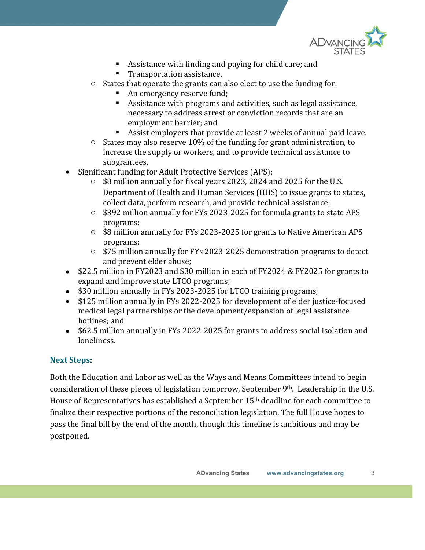

- Assistance with finding and paying for child care; and
- **Transportation assistance.**
- o States that operate the grants can also elect to use the funding for:
	- An emergency reserve fund;
	- Assistance with programs and activities, such as legal assistance, necessary to address arrest or conviction records that are an employment barrier; and
	- Assist employers that provide at least 2 weeks of annual paid leave.
- $\circ$  States may also reserve 10% of the funding for grant administration, to increase the supply or workers, and to provide technical assistance to subgrantees.
- Significant funding for Adult Protective Services (APS):
	- \$8 million annually for fiscal years 2023, 2024 and 2025 for the U.S. Department of Health and Human Services (HHS) to issue grants to states, collect data, perform research, and provide technical assistance;
	- o \$392 million annually for FYs 2023-2025 for formula grants to state APS programs;
	- o \$8 million annually for FYs 2023-2025 for grants to Native American APS programs;
	- o \$75 million annually for FYs 2023-2025 demonstration programs to detect and prevent elder abuse;
- \$22.5 million in FY2023 and \$30 million in each of FY2024 & FY2025 for grants to expand and improve state LTCO programs;
- \$30 million annually in FYs 2023-2025 for LTCO training programs;<br>• \$125 million annually in FYs 2022-2025 for development of elder ju:
- \$125 million annually in FYs 2022-2025 for development of elder justice-focused medical legal partnerships or the development/expansion of legal assistance hotlines; and
- \$62.5 million annually in FYs 2022-2025 for grants to address social isolation and loneliness.

### **Next Steps:**

Both the Education and Labor as well as the Ways and Means Committees intend to begin consideration of these pieces of legislation tomorrow, September 9th. Leadership in the U.S. House of Representatives has established a September 15th deadline for each committee to finalize their respective portions of the reconciliation legislation. The full House hopes to pass the final bill by the end of the month, though this timeline is ambitious and may be postponed.